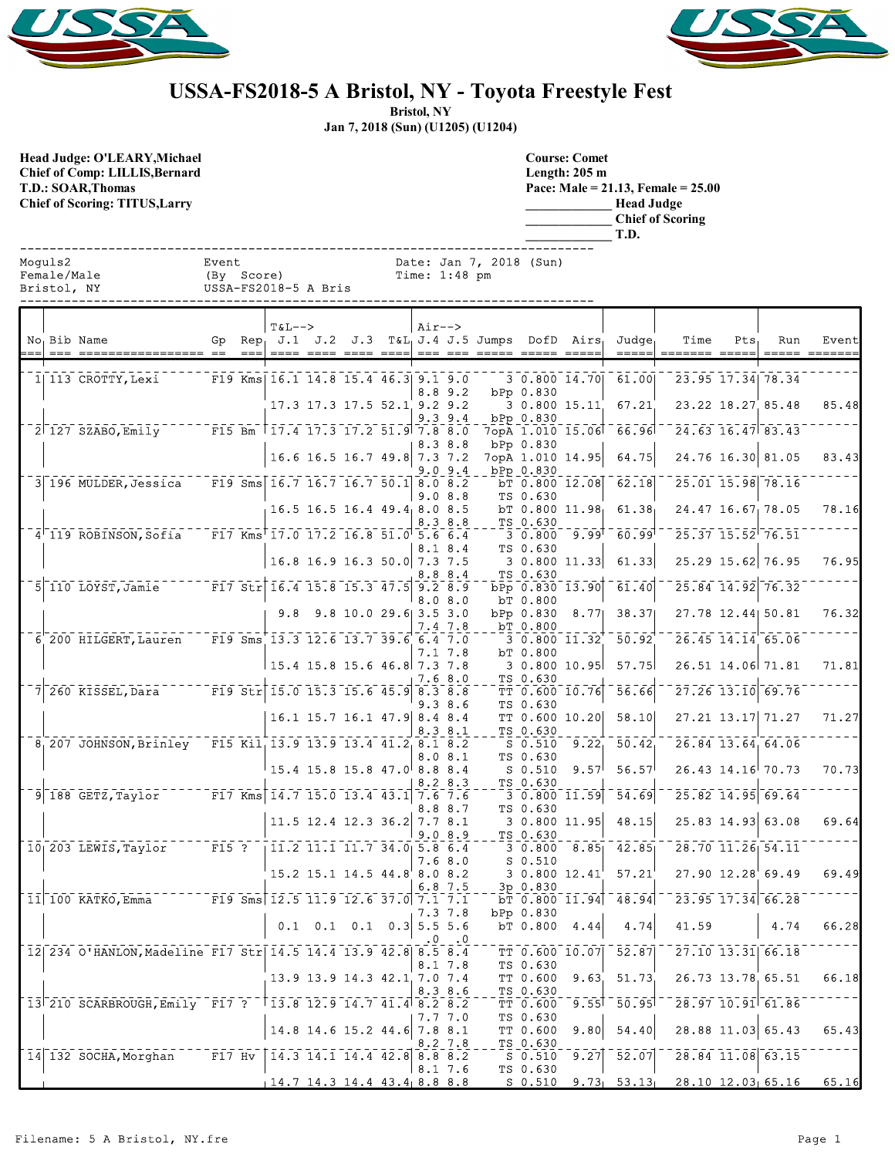



## **USSA-FS2018-5 A Bristol, NY - Toyota Freestyle Fest**

**Bristol, NY**

**Jan 7, 2018 (Sun) (U1205) (U1204)**

**Head Judge: O'LEARY,Michael Chief of Comp: LILLIS,Bernard T.D.: SOAR,Thomas Chief of Scoring: TITUS,Larry** 

| <b>Course: Comet</b>                    |
|-----------------------------------------|
| Length: $205 \text{ m}$                 |
| Pace: Male = $21.13$ , Female = $25.00$ |
| <b>Head Judge</b>                       |
| <b>Chief of Scoring</b>                 |
| T.D.                                    |

| Moquls2     | Event                |               | Date: Jan 7, 2018 (Sun) |
|-------------|----------------------|---------------|-------------------------|
| Female/Male | (By Score)           | Time: 1:48 pm |                         |
| Bristol, NY | USSA-FS2018-5 A Bris |               |                         |

|  | No Bib Name                                                    |       | $=$ $=$ $=$ | $T&L-->$<br>$--- -$                                                                      |                               | ----- | $Air--$      |             | Gp Rep. J.1 J.2 J.3 T&L. J.4 J.5 Jumps DofD Airs. |                      |                  | Judge <sub>r</sub><br>----- | Time                                                     | Pts | Run                     | Event<br>_______ |
|--|----------------------------------------------------------------|-------|-------------|------------------------------------------------------------------------------------------|-------------------------------|-------|--------------|-------------|---------------------------------------------------|----------------------|------------------|-----------------------------|----------------------------------------------------------|-----|-------------------------|------------------|
|  | 1  113 CROTTY, Lexi                                            |       |             | F19 Kms 16.1 14.8 15.4 46.3 9.1 9.0                                                      |                               |       |              | 8.89.2      |                                                   | bPp 0.830            | 3 0.800 14.70    | 61.00                       |                                                          |     | 23.95 17.34 78.34       |                  |
|  |                                                                |       |             |                                                                                          | 17.3 17.3 17.5 52.1 9.2 9.2   |       |              | $9.3$ $9.4$ |                                                   | bPp 0.830            |                  | 3 0.800 15.11 67.21         |                                                          |     | 23.22 18.27 85.48       | 85.48            |
|  | 2 127 SZABO, Emily ------ F15 Bm   17.4 17.3 17.2 51.9 7.8 8.0 |       |             |                                                                                          |                               |       |              | 8.3 8.8     |                                                   | bPp 0.830            |                  | 7opA 1.010 15.06 66.96      | $\overline{24.63}$ $\overline{16.47}$ $\overline{83.43}$ |     |                         |                  |
|  |                                                                |       |             |                                                                                          | 16.6 16.5 16.7 49.8 7.3 7.2   |       |              | 9.09.4      |                                                   | bPp 0.830            | 7opA 1.010 14.95 | 64.75                       |                                                          |     | 24.76 16.30 81.05       | 83.43            |
|  | 3 196 MULDER, Jessica                                          |       |             | $\sqrt{519 \text{ Sms}} \cdot 16.7 \cdot 16.7 \cdot 16.7 \cdot 50.1 \cdot 8.0 \cdot 8.2$ |                               |       |              | 9.08.8      |                                                   | TS 0.630             | bT 0.800 12.08   | 62.18                       |                                                          |     | 25.01 15.98 78.16       |                  |
|  |                                                                |       |             |                                                                                          | 16.5 16.5 16.4 49.4 8.0 8.5   |       |              | 8.3 8.8     |                                                   | TS 0.630             |                  | bT $0.800$ 11.98 61.38      |                                                          |     | 24.47 16.67 78.05       | 78.16            |
|  | 4 119 ROBINSON, Sofia                                          |       |             | $\texttt{F17 Kms}$ 17.0 17.2 16.8 51.0 5.6 6.4                                           |                               |       |              | 8.1 8.4     |                                                   | TS 0.630             |                  | $30.800$ $9.99$ $60.99$     | $\sqrt{25.37}$ $\sqrt{15.52}$ $\sqrt{76.51}$             |     |                         |                  |
|  |                                                                |       |             |                                                                                          | 16.8 16.9 16.3 50.0 7.3 7.5   |       |              | 8.8 8.4     |                                                   | TS 0.630             | 30.80011.33      | 61.33                       |                                                          |     | 25.29 15.62 76.95       | 76.95            |
|  | 5 110 LOYST, Jamie F17 Str 16.4 15.8 15.3 47.5 9.2 8.9         |       |             |                                                                                          |                               |       |              | 8.08.0      |                                                   | bT 0.800             | bPp 0.830 13.90  | $-61.40$                    |                                                          |     | 25.84 14.92 76.32       |                  |
|  |                                                                |       |             |                                                                                          | $9.8$ $9.8$ 10.0 29.6 3.5 3.0 |       |              | 7.4 7.8     |                                                   | bT 0.800             | bPp 0.830 8.77   | 38.37                       |                                                          |     | 27.78 12.44 50.81       | 76.32            |
|  | 6 200 HILGERT, Lauren                                          |       |             | $\overline{F19}$ Sms 13.3 12.6 13.7 39.6 6.4 7.0                                         |                               |       |              | 7.1 7.8     |                                                   | bT 0.800             | 3 0.800 11.32    | 50.92                       |                                                          |     | 26.45 14.14 65.06       |                  |
|  |                                                                |       |             | $15.4$ 15.8 15.6 46.8 7.3 7.8                                                            |                               |       |              | 7.6 8.0     |                                                   | TS 0.630             |                  | 3 0.800 10.95 57.75         |                                                          |     | 26.51 14.06 71.81       | 71.81            |
|  | 7 260 KISSEL, Dara                                             |       |             | F19 Str 15.0 15.3 15.6 45.9 8.3 8.8                                                      |                               |       |              | 9.3 8.6     |                                                   | TS 0.630             | TT 0.600 10.76   | 56.66                       |                                                          |     | 27.26 13.10 69.76       |                  |
|  |                                                                |       |             |                                                                                          | 16.1 15.7 16.1 47.9 8.4 8.4   |       |              | 8.38.1      |                                                   | TS 0.630             | TT 0.600 10.20   | 58.10                       |                                                          |     | 27.21 13.17 71.27       | 71.27            |
|  | 8 207 JOHNSON, Brinley F15 Kil 13.9 13.9 13.4 41.2 8.1 8.2     |       |             |                                                                                          |                               |       |              | 8.0 8.1     |                                                   | TS 0.630             | $S$ 0.510 9.22   | 50.42                       |                                                          |     | 26.84 13.64 64.06       |                  |
|  |                                                                |       |             | $15.4$ 15.8 15.8 47.0 8.8 8.4                                                            |                               |       |              | 8.28.3      |                                                   | S 0.510<br>TS 0.630  | 9.57             | 56.57                       |                                                          |     | 26.43 14.16 70.73       | 70.73            |
|  | $9 \vert 188 \vert$ GETZ, Taylor                               |       |             | F17 Kms $14.7$ 15.0 13.4 43.1 7.6 7.6                                                    |                               |       |              | 8.8 8.7     |                                                   | TS 0.630             | 3 0.800 11.59    | 54.69                       |                                                          |     | 25.82 14.95 69.64       |                  |
|  |                                                                |       |             |                                                                                          | 11.5 12.4 12.3 36.2 7.7 8.1   |       |              | 9.08.9      |                                                   | TS 0.630             | 30.80011.95      | 48.15                       |                                                          |     | $25.83$ 14.93 63.08     | 69.64            |
|  | $10$   203 LEWIS, Taylor                                       | F15 ? |             | 11.2 11.1 11.7 34.0  5.8 6.4                                                             |                               |       |              | 7.6 8.0     |                                                   | $S_0.510$            | $30.800$ $8.85$  | 42.85                       |                                                          |     | 28.70 11.26 54.11       |                  |
|  |                                                                |       |             |                                                                                          | 15.2 15.1 14.5 44.8 8.0 8.2   |       |              | 6.87.5      |                                                   | 3p 0.830             | 30.80012.41      | 57.21                       |                                                          |     | 27.90 12.28 69.49       | 69.49            |
|  | 11 100 KATKO, Emma                                             |       |             | $F19$ Sms $12.5$ 11.9 12.6 37.0 7.1 7.1                                                  |                               |       |              | 7.3 7.8     |                                                   | bPp 0.830            | bT 0.800 11.94   | 48.94                       |                                                          |     | $23.95$ $17.34$ 66.28   |                  |
|  |                                                                |       |             |                                                                                          | $0.1$ 0.1 0.1 0.3 5.5 5.6     |       |              |             |                                                   | bT 0.800             | 4.44             | 4.74                        | 41.59                                                    |     | 4.74                    | 66.28            |
|  | 12 234 0'HANLON, Madeline F17 Str 14.5 14.4 13.9 42.8 8.5 8.4  |       |             |                                                                                          |                               |       | 8.1 7.8      |             |                                                   | TS 0.630             | TT 0.600 10.07   | $\overline{52.87}$          | $-27.10$ 13.31 66.18                                     |     |                         |                  |
|  |                                                                |       |             |                                                                                          | 13.9 13.9 14.3 42.1 7.0 7.4   |       | 8.3 8.6      |             |                                                   | TT 0.600<br>TS 0.630 | 9.63             | 51.73                       |                                                          |     | 26.73 13.78 65.51       | 66.18            |
|  | 13 210 SCARBROUGH, Emily F17 ? 13.8 12.9 14.7 41.4 8.2 8.2     |       |             |                                                                                          |                               |       |              | 7.7 7.0     |                                                   | TT 0.600<br>TS 0.630 |                  | $9.55$   $-50.95$           |                                                          |     | $28.97$ $10.91$ $61.86$ |                  |
|  |                                                                |       |             |                                                                                          | 14.8 14.6 15.2 44.6 7.8 8.1   |       | $8.2 \, 7.8$ |             |                                                   | TT 0.600<br>TS 0.630 | 9.80             | 54.40                       |                                                          |     | 28.88 11.03 65.43       | 65.43            |
|  | 14 132 SOCHA, Morghan                                          |       |             | F17 Hv 14.3 14.1 14.4 42.8 8.8 8.2                                                       |                               |       | 8.17.6       |             |                                                   | S 0.510<br>TS 0.630  | 9.27             | 52.07                       |                                                          |     | 28.84 11.08 63.15       |                  |
|  |                                                                |       |             | $14.7$ 14.3 14.4 43.4 8.8 8.8                                                            |                               |       |              |             |                                                   | <u>s 0.510</u>       |                  |                             | $9.73$ $53.13$ $28.10$ $12.03$ $65.16$                   |     |                         | 65.16            |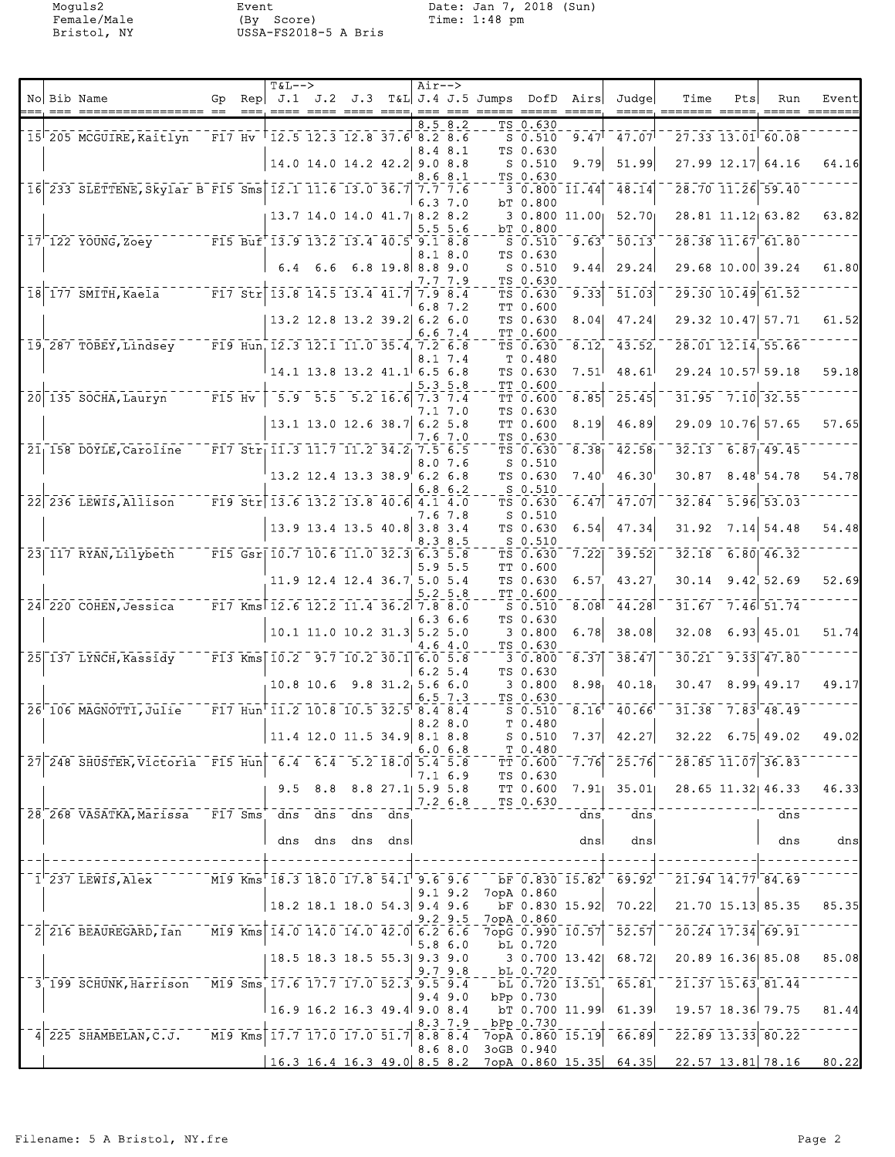Moguls2 Event Date: Jan 7, 2018 (Sun) Female/Male (By Score) Time: 1:48 pm Bristol, NY USSA-FS2018-5 A Bris

|  |                                                                                   |  | $T&L-->$                               |                                         | Air--> |                    |                                                  |                            |                                                           |                                |                                                       |     |                                                           |                   |
|--|-----------------------------------------------------------------------------------|--|----------------------------------------|-----------------------------------------|--------|--------------------|--------------------------------------------------|----------------------------|-----------------------------------------------------------|--------------------------------|-------------------------------------------------------|-----|-----------------------------------------------------------|-------------------|
|  | No Bib Name<br>=== ================= ==                                           |  | ---, ---- ---- ---- ---- ----, --- --- |                                         |        |                    | Gp Rep $J.1$ J.2 J.3 T&L J.4 J.5 Jumps DofD Airs |                            | $\qquad \qquad \doteq \qquad \qquad \doteq \qquad \qquad$ | Judge                          | Time                                                  | Pts | Run<br>$\qquad \qquad \equiv \equiv \equiv \equiv \equiv$ | Event<br>________ |
|  |                                                                                   |  |                                        |                                         |        | 8.58.2             |                                                  | TS 0.630                   |                                                           |                                |                                                       |     |                                                           |                   |
|  | 15 205 MCGUIRE, Kaitlyn F17 Hv 12.5 12.3 12.8 37.6 8.2 8.6                        |  |                                        |                                         |        | 8.4 8.1            |                                                  | $S$ 0.510<br>TS 0.630      |                                                           | $9.47$ <sup>[</sup> $47.07$ ]  |                                                       |     | $27.33$ $13.01$ 60.08                                     |                   |
|  |                                                                                   |  |                                        | 14.0 14.0 14.2 42.2 9.0 8.8             |        |                    |                                                  | $S_0.510$                  | 9.79                                                      | 51.99                          |                                                       |     | 27.99 12.17 64.16                                         | 64.16             |
|  | 16 233 SLETTENE, Skylar B F15 Sms 12.1 11.6 13.0 36.7 7.7 7.6                     |  |                                        |                                         |        | 8.6 8.1            |                                                  | TS 0.630                   | $3\,0.800\,11.44$                                         | $-48.14$                       |                                                       |     | $28.70$ $11.26$ 59.40                                     |                   |
|  |                                                                                   |  |                                        |                                         |        | 6.37.0             |                                                  | bT 0.800                   |                                                           |                                |                                                       |     |                                                           |                   |
|  |                                                                                   |  | $13.7$ 14.0 14.0 41.7 8.2 8.2          |                                         |        | 5.55.6             |                                                  | bT 0.800                   |                                                           | 3 0.800 11.00 52.70            |                                                       |     | 28.81 11.12 63.82                                         | 63.82             |
|  | 17 122 YOUNG, Zoey F15 Buf 13.9 13.2 13.4 40.5 9.1 8.8                            |  |                                        |                                         |        |                    |                                                  | $S = 0.510$<br>TS 0.630    | 9.63'                                                     | 50.13                          |                                                       |     | $28.38$ $11.67$ $61.80$                                   |                   |
|  |                                                                                   |  |                                        | $6.4$ $6.6$ $6.8$ 19.8 8.8 9.0          |        | 8.1 8.0            |                                                  | $S_0.510$                  | 9.44                                                      | 29.24                          |                                                       |     | 29.68 10.00 39.24                                         | 61.80             |
|  | 18 177 SMITH, Kaela <sup>-----</sup> F17 Str 13.8 14.5 13.4 41.7                  |  |                                        |                                         |        | 7.7 7.9<br>7.9 8.4 |                                                  | TS 0.630<br>TS 0.630       | 9.33                                                      | 51.03                          |                                                       |     | $29.30$ $10.49$ 61.52                                     |                   |
|  |                                                                                   |  |                                        |                                         |        | 6.87.2             |                                                  | TT 0.600                   |                                                           |                                |                                                       |     |                                                           |                   |
|  |                                                                                   |  |                                        | 13.2 12.8 13.2 39.2 6.2 6.0             |        | 6.67.4             |                                                  | TS 0.630<br>TT 0.600       | 8.04                                                      | 47.24                          |                                                       |     | 29.32 10.47 57.71                                         | 61.52             |
|  | 19 287 TOBEY, Lindsey F19 Hun 12.3 12.1 11.0 35.4 7.2 6.8                         |  |                                        |                                         |        |                    |                                                  | TS 0.630                   |                                                           | 8.12, 43.52                    |                                                       |     | 28.01 12.14 55.66                                         |                   |
|  |                                                                                   |  |                                        |                                         |        | 8.1 7.4            |                                                  | T 0.480<br>TS 0.630        | 7.51                                                      | 48.61                          |                                                       |     | 29.24 10.57 59.18                                         | 59.18             |
|  |                                                                                   |  |                                        |                                         | 5.35.8 |                    |                                                  | TT 0.600                   |                                                           |                                |                                                       |     |                                                           |                   |
|  | 20 135 SOCHA, Lauryn F15 Hv                                                       |  |                                        | $-5.9$ $-5.5$ $-5.2$ $16.6$ $7.3$ $7.4$ |        | 7.1 7.0            |                                                  | TT 0.600<br>TS 0.630       | 8.85                                                      | 25.45                          |                                                       |     | $31.95 - 7.10$ 32.55                                      |                   |
|  |                                                                                   |  |                                        | 13.1 13.0 12.6 38.7 6.2 5.8             |        |                    |                                                  | TT 0.600                   | 8.19                                                      | 46.89                          |                                                       |     | 29.09 10.76 57.65                                         | 57.65             |
|  | 21 158 DOYLE, Caroline F17 Str 11.3 11.7 11.2 34.2 7.5 6.5                        |  |                                        |                                         |        | 7.67.0             |                                                  | TS 0.630<br>TS 0.630       | 8.38 <sub>1</sub>                                         | $-42.58$                       |                                                       |     | $32.13$ 6.87 49.45                                        |                   |
|  |                                                                                   |  |                                        |                                         |        | 8.07.6             |                                                  | $S$ 0.510                  |                                                           |                                |                                                       |     |                                                           |                   |
|  |                                                                                   |  |                                        | 13.2 12.4 13.3 38.9 6.2 6.8             |        | 6.86.2             |                                                  | TS 0.630<br>$S$ 0.510      | $7.40^{\circ}$                                            | 46.30                          |                                                       |     | $30.87$ $8.48$ <sup>'</sup> 54.78                         | 54.78             |
|  | 22 236 LEWIS, Allison F19 Str 13.6 13.2 13.8 40.6 4.1 4.0                         |  |                                        |                                         |        | 7.6 7.8            |                                                  | TS 0.630<br>$S_0.510$      | 6.47                                                      | 47.07                          | 32.84                                                 |     | $5.96$ $53.03$                                            |                   |
|  |                                                                                   |  |                                        | 13.9 13.4 13.5 40.8 3.8 3.4             |        |                    |                                                  | TS 0.630                   | 6.54                                                      | 47.34                          | 31.92                                                 |     | $7.14$ 54.48                                              | 54.48             |
|  | 23 117 RYAN, Lilybeth F15 Gsr 10.7 10.6 11.0 32.3 6.3 5.8                         |  |                                        |                                         |        | 8.38.5             |                                                  | $S$ 0.510<br>TS 0.630      | 7.22                                                      | 39.52                          | 32.18                                                 |     | $6.80$ 46.32                                              |                   |
|  |                                                                                   |  |                                        |                                         |        | 5.95.5             |                                                  | TT 0.600                   |                                                           |                                |                                                       |     |                                                           |                   |
|  |                                                                                   |  |                                        | 11.9 12.4 12.4 36.7 5.0 5.4             |        | $5.2 \, 5.8$       |                                                  | TS 0.630<br>TT 0.600       | 6.57                                                      | 43.27                          |                                                       |     | 30.14 9.42 52.69                                          | 52.69             |
|  | 24 220 COHEN, Jessica F17 Kms 12.6 12.2 11.4 36.2 7.8 8.0                         |  |                                        |                                         |        |                    |                                                  | $S$ 0.510                  | 8.08                                                      | $-44.28$                       | 31.67                                                 |     | $-7.46$ $51.74$                                           |                   |
|  |                                                                                   |  |                                        | $10.1$ 11.0 10.2 31.3 5.2 5.0           |        | 6.36.6             |                                                  | TS 0.630<br>3 0.800        | 6.78                                                      | 38.08                          | 32.08                                                 |     | $6.93$ 45.01                                              | 51.74             |
|  |                                                                                   |  |                                        |                                         |        | 4.6 4.0            |                                                  | TS 0.630                   |                                                           |                                |                                                       |     |                                                           |                   |
|  | 25 137 LYNCH, Kassidy F13 Kms 10.2 9.7 10.2 30.1 6.0 5.8                          |  |                                        |                                         |        | 6.25.4             |                                                  | 30.800<br>TS 0.630         | 8.37                                                      | 38.47                          | 30.21                                                 |     | $9.33$ $47.80$                                            |                   |
|  |                                                                                   |  | $10.8$ 10.6                            | $9.8$ 31.2 5.6 6.0                      |        |                    |                                                  | 30.800                     | 8.98 <sub>1</sub>                                         | 40.18                          |                                                       |     | $30.47$ $8.99$ $49.17$                                    | 49.17             |
|  | 26 106 MAGNOTTI, Julie F17 Hun 11.2 10.8 10.5 32.5 8.4 8.4                        |  |                                        |                                         |        | $6.5 \t7.3$        |                                                  | TS 0.630<br>$S_0.510$      | 8.16                                                      | $40.66^{\dagger}$              |                                                       |     | $31.38$ $7.83$ $48.49$                                    |                   |
|  |                                                                                   |  |                                        | $11.4$ 12.0 11.5 34.9 8.1 8.8           |        | 8.28.0             |                                                  | T 0.480<br>S 0.510         |                                                           |                                | $7.37$ 42.27 32.22 6.75 49.02                         |     |                                                           | 49.02             |
|  |                                                                                   |  |                                        |                                         |        | 6.06.8             |                                                  | T 0.480                    |                                                           |                                |                                                       |     |                                                           |                   |
|  | 27 248 SHUSTER, Victoria F15 Hun 6.4 6.4 5.2 18.0 5.4 5.8                         |  |                                        |                                         |        | 7.16.9             |                                                  | TT 0.600<br>TS 0.630       | 7.76                                                      |                                | $\sqrt{25.76}$ $\sqrt{28.85}$ 11.07 36.83             |     |                                                           |                   |
|  |                                                                                   |  |                                        | $9.5$ $8.8$ $8.8$ $27.1$ $5.9$ $5.8$    |        |                    |                                                  |                            |                                                           |                                | TT $0.600$ 7.91 35.01 28.65 11.32 46.33               |     |                                                           | 46.33             |
|  | 28 268 VASATKA, Marissa F17 Sms dns dns dns dns                                   |  |                                        |                                         |        | $7.2\;6.8$         |                                                  | TS 0.630                   | dns                                                       | dns                            |                                                       |     | dns                                                       |                   |
|  |                                                                                   |  |                                        |                                         |        |                    |                                                  |                            |                                                           |                                |                                                       |     |                                                           |                   |
|  |                                                                                   |  |                                        | dns dns dns dns                         |        |                    |                                                  |                            | dnsl                                                      | dns                            |                                                       |     | dns                                                       | dns               |
|  | $\frac{1}{1}$ 237 LEWIS, Alex $\frac{1}{237}$ M19 Kms 18.3 18.0 17.8 54.1 9.6 9.6 |  |                                        |                                         |        |                    |                                                  |                            |                                                           |                                |                                                       |     |                                                           |                   |
|  |                                                                                   |  |                                        |                                         |        |                    | 9.1 9.2 7opA 0.860                               |                            |                                                           | $DF 0.830 15.82^{1} 69.92^{1}$ |                                                       |     | 21.94 14.77 84.69                                         |                   |
|  |                                                                                   |  |                                        | 18.2 18.1 18.0 54.3 9.4 9.6             |        | $9.2$ $9.5$        |                                                  | 7opA 0.860                 |                                                           |                                | bF 0.830 15.92 70.22 21.70 15.13 85.35                |     |                                                           | 85.35             |
|  | 2 216 BEAUREGARD, Ian M19 Kms 14.0 14.0 14.0 42.0 6.2 6.6                         |  |                                        |                                         |        |                    | $7$ opG $-0.990 - 10.57$                         |                            |                                                           |                                | $-52.57$ <sup>--</sup> 20.24 17.34 <sup>-</sup> 69.91 |     |                                                           |                   |
|  |                                                                                   |  |                                        | 18.5 18.3 18.5 55.3 9.3 9.0             |        | 5.86.0             |                                                  | bL 0.720                   |                                                           |                                | 3 0.700 13.42 68.72 20.89 16.36 85.08                 |     |                                                           | 85.08             |
|  |                                                                                   |  |                                        |                                         |        | 9.79.8             |                                                  | $ b$ <sup>L</sup> $ 0.720$ |                                                           |                                |                                                       |     |                                                           |                   |
|  | 3 199 SCHUNK, Harrison M19 Sms 17.6 17.7 17.0 52.3 9.5 9.4                        |  |                                        |                                         |        | $9.4\,9.0$         |                                                  | bPp 0.730                  |                                                           |                                | $\overline{b}$ bL 0.720 13.51 65.81 21.37 15.63 81.44 |     |                                                           |                   |
|  |                                                                                   |  |                                        |                                         |        |                    |                                                  |                            |                                                           |                                | bT 0.700 11.99 61.39 19.57 18.36 79.75                |     |                                                           | 81.44             |
|  | $4$ 225 SHAMBELAN, C.J. $17.7$ 17.0 17.0 51.7 8.8 8.4                             |  |                                        |                                         |        | 8.3 7.9            |                                                  | bPp 0.730                  |                                                           | $7$ opA $0.860$ 15.19 $66.89$  |                                                       |     | $\overline{22.89}$ 13.33 80.22                            |                   |
|  |                                                                                   |  |                                        |                                         |        | 8.68.0             |                                                  | 3oGB 0.940                 |                                                           |                                |                                                       |     |                                                           |                   |
|  |                                                                                   |  | $16.3$ 16.4 16.3 49.0 8.5 8.2          |                                         |        |                    |                                                  |                            |                                                           |                                | $7$ opA 0.860 15.35 64.35 22.57 13.81 78.16 80.22     |     |                                                           |                   |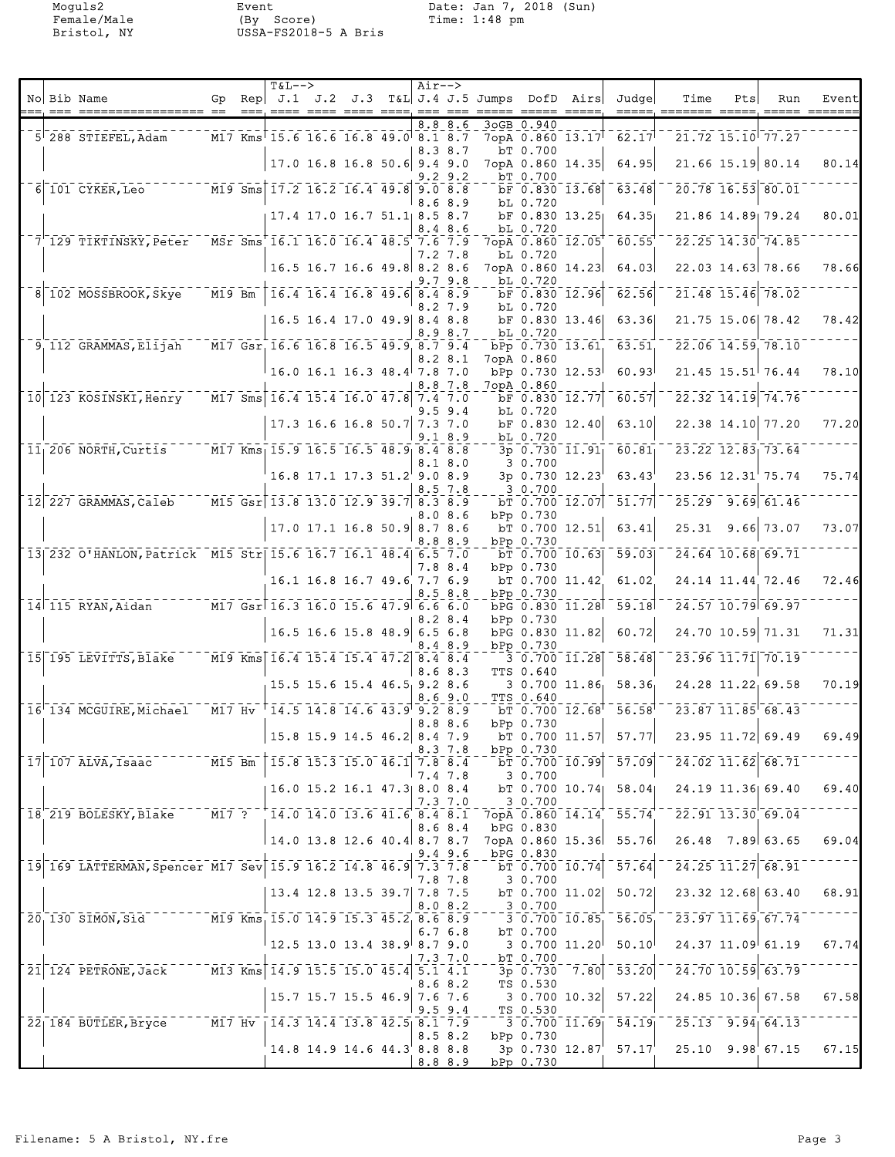Moguls2 Event Date: Jan 7, 2018 (Sun) Female/Male (By Score) Time: 1:48 pm Bristol, NY USSA-FS2018-5 A Bris

|  |                                                                         |          | $T&L--$                                                                                                   |                               | $Air--$     |           |                                                |                  |                  |                         |                                                                                                                                                                                                                                                                                                                                                                                             |     |                                                 |       |
|--|-------------------------------------------------------------------------|----------|-----------------------------------------------------------------------------------------------------------|-------------------------------|-------------|-----------|------------------------------------------------|------------------|------------------|-------------------------|---------------------------------------------------------------------------------------------------------------------------------------------------------------------------------------------------------------------------------------------------------------------------------------------------------------------------------------------------------------------------------------------|-----|-------------------------------------------------|-------|
|  | No Bib Name                                                             | $==$     |                                                                                                           |                               |             |           | Gp Rep J.1 J.2 J.3 T&L J.4 J.5 Jumps DofD Airs |                  |                  | Judgel                  | Time                                                                                                                                                                                                                                                                                                                                                                                        | Pts | Run                                             | Event |
|  | $5^{\dagger}$ 288 STIEFEL, Adam                                         |          | M17 Kms 15.6 16.6 16.8 49.0 8.1 8.7                                                                       |                               | 8.8         | 8.6       |                                                | 3oGB 0.940       |                  | 7opA 0.860 13.17 62.17  |                                                                                                                                                                                                                                                                                                                                                                                             |     | 21.72 15.10 77.27                               |       |
|  |                                                                         |          |                                                                                                           | $17.0$ 16.8 16.8 50.6 9.4 9.0 | 8.3 8.7     |           |                                                | bT 0.700         | 7opA 0.860 14.35 | 64.95                   |                                                                                                                                                                                                                                                                                                                                                                                             |     | 21.66 15.19 80.14                               | 80.14 |
|  |                                                                         |          |                                                                                                           |                               |             | 9.29.2    |                                                | bT 0.700         |                  |                         |                                                                                                                                                                                                                                                                                                                                                                                             |     |                                                 |       |
|  |                                                                         |          |                                                                                                           |                               | 8.6 8.9     |           |                                                | bL 0.720         | bF 0.830 13.68   | $-63.48$                |                                                                                                                                                                                                                                                                                                                                                                                             |     | 20.78 16.53 80.01                               |       |
|  |                                                                         |          |                                                                                                           | 17.4 17.0 16.7 51.1 8.5 8.7   | 8.48.6      |           |                                                | bL 0.720         | bF 0.830 13.25   | 64.35                   |                                                                                                                                                                                                                                                                                                                                                                                             |     | 21.86 14.89 79.24                               | 80.01 |
|  | $7\overline{)129}$ TIKTINSKY, Peter MSr Sms 16.1 16.0 16.4 48.5 7.6 7.9 |          |                                                                                                           |                               | 7.2 7.8     |           |                                                | bL 0.720         | 7opA 0.860 12.05 | 60.55                   |                                                                                                                                                                                                                                                                                                                                                                                             |     | 22.25 14.30 74.85                               |       |
|  |                                                                         |          | 16.5 16.7 16.6 49.8 8.2 8.6                                                                               |                               | 9.79.8      |           |                                                | bL 0.720         | 7opA 0.860 14.23 | 64.03                   |                                                                                                                                                                                                                                                                                                                                                                                             |     | 22.03 14.63 78.66                               | 78.66 |
|  | 8 102 MOSSBROOK, Skye                                                   | $M19$ Bm | $\overline{16.4}$ $\overline{16.4}$ $\overline{16.8}$ $\overline{49.6}$ $\overline{8.4}$ $\overline{8.9}$ |                               | 8.27.9      |           |                                                | bL 0.720         | bF 0.830 12.96   | 62.56                   |                                                                                                                                                                                                                                                                                                                                                                                             |     | $21.48$ 15.46 78.02                             |       |
|  |                                                                         |          |                                                                                                           | 16.5 16.4 17.0 49.9 8.4 8.8   | 8.98.7      |           |                                                |                  | bF 0.830 13.46   | 63.36                   |                                                                                                                                                                                                                                                                                                                                                                                             |     | 21.75 15.06 78.42                               | 78.42 |
|  | 9 112 GRAMMAS, Elijah                                                   |          | M17 Gsr 16.6 16.8 16.5 49.9 8.7 9.4                                                                       |                               |             |           |                                                | bL 0.720         | bPp 0.730 13.61  | 63.51                   |                                                                                                                                                                                                                                                                                                                                                                                             |     | 22.06 14.59 78.10                               |       |
|  |                                                                         |          | $16.0$ 16.1 16.3 48.4 7.8 7.0                                                                             |                               | 8.28.1      |           |                                                | 7opA 0.860       | bPp 0.730 12.53  | 60.93                   |                                                                                                                                                                                                                                                                                                                                                                                             |     | $21.45$ 15.51 76.44                             | 78.10 |
|  | 10 123 KOSINSKI, Henry M17 Sms 16.4 15.4 16.0 47.8 7.4 7.0              |          |                                                                                                           |                               | 8.8 7.8     |           |                                                | 7opA 0.860       | bF 0.830 12.77   | 60.57                   |                                                                                                                                                                                                                                                                                                                                                                                             |     | 22.32 14.19 74.76                               |       |
|  |                                                                         |          |                                                                                                           | 17.3 16.6 16.8 50.7 7.3 7.0   | 9.59.4      |           |                                                | bL 0.720         | bF 0.830 12.40   | 63.10                   |                                                                                                                                                                                                                                                                                                                                                                                             |     | 22.38 14.10 77.20                               | 77.20 |
|  | $11_1 206$ NORTH, Curtis $15.9$ $16.5$ $16.5$ $48.9$ $8.4$ $8.8$        |          |                                                                                                           |                               | 9.18.9      |           |                                                | bL 0.720         | 3p 0.730 11.91   | 60.81                   |                                                                                                                                                                                                                                                                                                                                                                                             |     | $23.22$ $12.83$ $73.64$                         |       |
|  |                                                                         |          |                                                                                                           | $16.8$ 17.1 17.3 51.2 9.0 8.9 | 8.1 8.0     |           |                                                | 3 0.700          | $3p$ 0.730 12.23 | 63.43                   |                                                                                                                                                                                                                                                                                                                                                                                             |     | $23.56$ $12.31$ <sup><math>+ 75.74</math></sup> | 75.74 |
|  |                                                                         |          |                                                                                                           |                               | 8.5 7.8     |           |                                                | 3 0.700          |                  |                         |                                                                                                                                                                                                                                                                                                                                                                                             |     |                                                 |       |
|  | 12 227 GRAMMAS, Caleb M15 Gsr 13.8 13.0 12.9 39.7 8.3 8.9               |          |                                                                                                           |                               |             | 8.0 8.6   |                                                | bPp 0.730        | $bT$ 0.700 12.07 | 51.77                   | 25.29                                                                                                                                                                                                                                                                                                                                                                                       |     | $-9.69$ 61.46                                   |       |
|  |                                                                         |          |                                                                                                           | 17.0 17.1 16.8 50.9 8.7 8.6   | 8.8 8.9     |           |                                                | bPp 0.730        | $bT$ 0.700 12.51 | 63.41                   |                                                                                                                                                                                                                                                                                                                                                                                             |     | 25.31 9.66 73.07                                | 73.07 |
|  | 13 232 O'HANLON, Patrick M15 Str 15.6 16.7 16.1 48.4 6.5 7.0            |          |                                                                                                           |                               | 7.8 8.4     |           |                                                | bPp 0.730        |                  | bT 0.700 10.63 59.03    |                                                                                                                                                                                                                                                                                                                                                                                             |     | 24.64 10.68 69.71                               |       |
|  |                                                                         |          |                                                                                                           | 16.1 16.8 16.7 49.6 7.7 6.9   | 8.5 8.8     |           |                                                | bPp 0.730        | bT 0.700 11.42   | 61.02                   |                                                                                                                                                                                                                                                                                                                                                                                             |     | 24.14 11.44 72.46                               | 72.46 |
|  | 14 115 RYAN, Aidan M17 Gsr 16.3 16.0 15.6 47.9 6.6 6.0                  |          |                                                                                                           |                               | 8.28.4      |           |                                                | bPp 0.730        |                  | bPG 0.830 11.28 59.18   |                                                                                                                                                                                                                                                                                                                                                                                             |     | 24.57 10.79 69.97                               |       |
|  |                                                                         |          |                                                                                                           | 16.5 16.6 15.8 48.9 6.5 6.8   |             |           |                                                |                  | bPG 0.830 11.82  | 60.72                   |                                                                                                                                                                                                                                                                                                                                                                                             |     | 24.70 10.59 71.31                               | 71.31 |
|  | 15 195 LEVITTS, Blake M19 Kms 16.4 15.4 15.4 47.2 8.4 8.4               |          |                                                                                                           |                               | 8.4 8.9     |           |                                                | bPp 0.730        | 30.70011.28      | 58.48                   |                                                                                                                                                                                                                                                                                                                                                                                             |     | 23.96 11.71 70.19                               |       |
|  |                                                                         |          |                                                                                                           | 15.5 15.6 15.4 46.5 9.2 8.6   | 8.6 8.3     |           |                                                | <b>TTS 0.640</b> |                  | $3\ 0.700\ 11.86$ 58.36 |                                                                                                                                                                                                                                                                                                                                                                                             |     | 24.28 11.22 69.58                               | 70.19 |
|  | $16^{6}$ 134 MCGUIRE, Michael M17 Hv $14.5$ 14.8 14.6 43.9 9.2 8.9      |          |                                                                                                           |                               | 8.69.0      |           |                                                | <b>TTS 0.640</b> |                  | bT 0.700 12.68 56.58    |                                                                                                                                                                                                                                                                                                                                                                                             |     | 23.87 11.85 68.43                               |       |
|  |                                                                         |          |                                                                                                           | 15.8 15.9 14.5 46.2 8.4 7.9   | 8.88.6      |           |                                                | bPp 0.730        |                  | bT 0.700 11.57 $57.77$  |                                                                                                                                                                                                                                                                                                                                                                                             |     | 23.95 11.72 69.49                               | 69.49 |
|  | 17 107 ALVA, Isaac M15 Bm 15.8 15.3 15.0 46.1 7.8 8.4                   |          |                                                                                                           |                               | 8.3 7.8     |           |                                                | bPp 0.730        |                  |                         | $\bar{\texttt{b}}$ $\bar{\texttt{r}}$ $\bar{\texttt{0}}$ $\bar{\texttt{0}}$ $\bar{\texttt{0}}$ $\bar{\texttt{0}}$ $\bar{\texttt{0}}$ $\bar{\texttt{0}}$ $\bar{\texttt{0}}$ $\bar{\texttt{0}}$ $\bar{\texttt{0}}$ $\bar{\texttt{0}}$ $\bar{\texttt{0}}$ $\bar{\texttt{0}}$ $\bar{\texttt{0}}$ $\bar{\texttt{0}}$ $\bar{\texttt{0}}$ $\bar{\texttt{0}}$ $\bar{\texttt{0}}$ $\bar{\texttt{0}}$ |     |                                                 |       |
|  |                                                                         |          |                                                                                                           | 16.0 15.2 16.1 47.3 8.0 8.4   | 7.4 7.8     |           |                                                | 3 0.700          |                  | bT 0.700 10.74 58.04    | 24.19 11.36 69.40                                                                                                                                                                                                                                                                                                                                                                           |     |                                                 | 69.40 |
|  | 18 219 BOLESKY, Blake - - - M17 ? - + 14.0 14.0 13.6 41.6 8.4 8.1       |          |                                                                                                           |                               | 7.37.0      |           |                                                | 30.700           |                  |                         |                                                                                                                                                                                                                                                                                                                                                                                             |     |                                                 |       |
|  |                                                                         |          |                                                                                                           |                               | 8.6 8.4     |           |                                                | bPG 0.830        |                  |                         | $7$ <sub>OP</sub> A $0.860$ $14.14$ $55.74$ $22.91$ $13.30$ $69.04$                                                                                                                                                                                                                                                                                                                         |     |                                                 |       |
|  |                                                                         |          | $14.0$ 13.8 12.6 40.4 8.7 8.7                                                                             |                               |             | $9.4$ 9.6 |                                                | bPG 0.830        |                  |                         | 7opA 0.860 15.36 55.76 26.48 7.89 63.65                                                                                                                                                                                                                                                                                                                                                     |     |                                                 | 69.04 |
|  | $15.9$ 169 LATTERMAN, Spencer M17 Sev 15.9 16.2 14.8 46.9 7.3 7.8       |          |                                                                                                           |                               | 7.8 7.8     |           |                                                | 3 0.700          | $bT$ 0.700 10.74 | $-57.64$                | $-$ 24.25 11.27 68.91                                                                                                                                                                                                                                                                                                                                                                       |     |                                                 |       |
|  |                                                                         |          | $13.4$ 12.8 13.5 39.7 7.8 7.5                                                                             |                               | 8.08.2      |           |                                                | 3 0.700          | $bT$ 0.700 11.02 | 50.72                   |                                                                                                                                                                                                                                                                                                                                                                                             |     | 23.32 12.68 63.40                               | 68.91 |
|  | 20 130 SIMON, S1d <sup>------</sup> M19 Kms 15.0 14.9 15.3 45.2 8.6 8.9 |          |                                                                                                           |                               | 6.76.8      |           |                                                | bT 0.700         | $-30.70010.85$   | $\overline{56.05}$      | $-23.97$ $11.69$ $67.74$                                                                                                                                                                                                                                                                                                                                                                    |     |                                                 |       |
|  |                                                                         |          | $\frac{1}{2}$ 12.5 13.0 13.4 38.9 8.7 9.0                                                                 |                               |             |           |                                                |                  | 3 0.700 11.20    | 50.10                   | 24.37 11.09 61.19                                                                                                                                                                                                                                                                                                                                                                           |     |                                                 | 67.74 |
|  | 21 124 PETRONE, Jack M13 Kms 14.9 15.5 15.0 45.4 5.1 4.1                |          |                                                                                                           |                               | 7.3 7.0     |           |                                                | bT 0.700         |                  |                         | $-3p$ 0.730 7.80 53.20 $-24.70$ 10.59 63.79                                                                                                                                                                                                                                                                                                                                                 |     |                                                 |       |
|  |                                                                         |          |                                                                                                           | 15.7 15.7 15.5 46.9 7.6 7.6   | 8.6 8.2     |           |                                                | TS 0.530         | 3 0.700 10.32    | 57.22                   | 24.85 10.36 67.58                                                                                                                                                                                                                                                                                                                                                                           |     |                                                 | 67.58 |
|  | 22 184 BUTLER, Bryce M17 Hv   14.3 14.4 13.8 42.5 8.1 7.9               |          |                                                                                                           |                               | $9.5$ $9.4$ |           |                                                | TS 0.530         |                  |                         | $-3$ 0.700 11.69 $54.19$ $-25.13$ 9.94 64.13                                                                                                                                                                                                                                                                                                                                                |     |                                                 |       |
|  |                                                                         |          |                                                                                                           | 14.8 14.9 14.6 44.3 8.8 8.8   | 8.5 8.2     |           |                                                | bPp 0.730        |                  |                         | 3p 0.730 12.87 57.17 25.10 9.98 67.15                                                                                                                                                                                                                                                                                                                                                       |     |                                                 | 67.15 |
|  |                                                                         |          |                                                                                                           |                               | 8.8 8.9     |           |                                                | bPp 0.730        |                  |                         |                                                                                                                                                                                                                                                                                                                                                                                             |     |                                                 |       |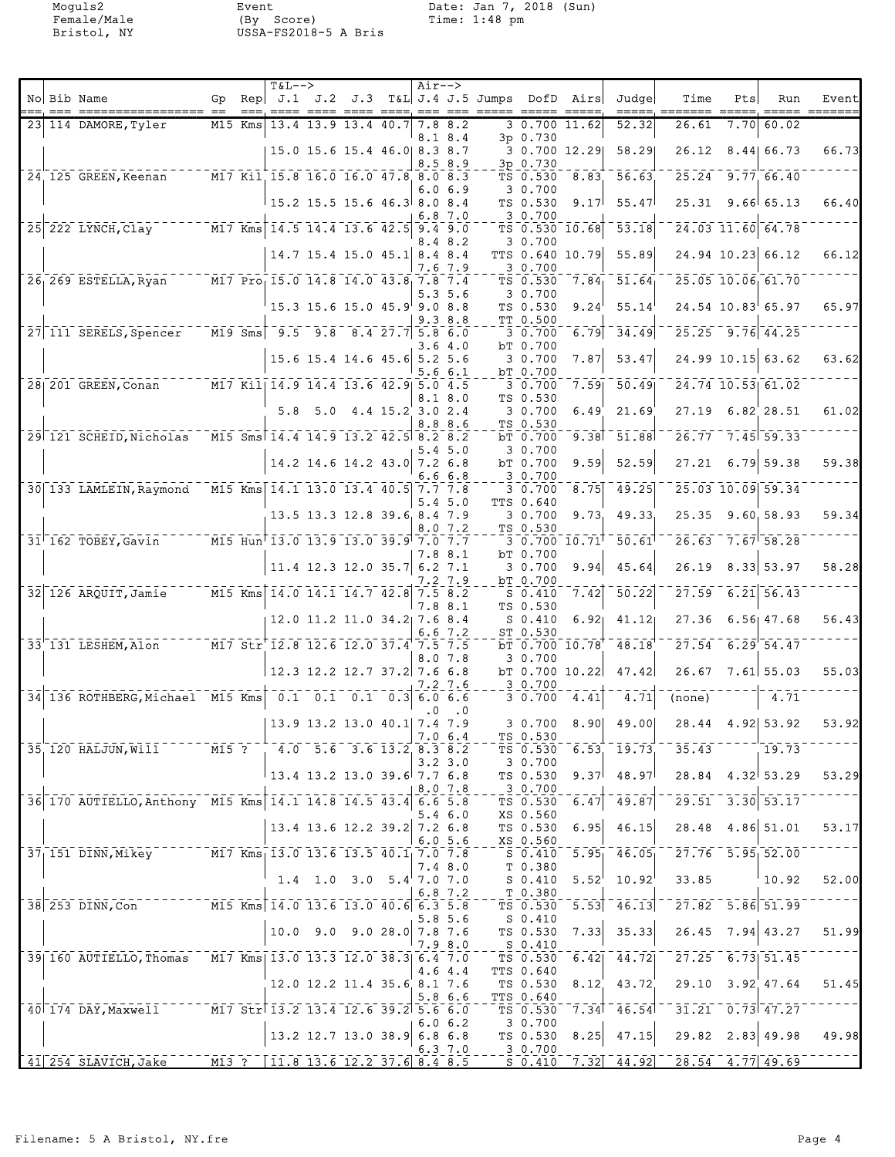Moguls2 Event Date: Jan 7, 2018 (Sun) Female/Male (By Score) Time: 1:48 pm Bristol, NY USSA-FS2018-5 A Bris

|  | No Bib Name                                                                                                                                                                                                                                      | Gp. |     | <b>T&amp;L--&gt;</b><br>Rep $J.1$ $J.2$ $J.3$                                 |     | _____ ____ ____ ____ ___      |                  | Air-->         |                    | T&L J.4 J.5 Jumps DofD Airs<br>esses esses |                                 |                               | Judgel<br>$=====$   | Time                                                                                          | Pts               | Run                | Event<br>===== ======= |
|--|--------------------------------------------------------------------------------------------------------------------------------------------------------------------------------------------------------------------------------------------------|-----|-----|-------------------------------------------------------------------------------|-----|-------------------------------|------------------|----------------|--------------------|--------------------------------------------|---------------------------------|-------------------------------|---------------------|-----------------------------------------------------------------------------------------------|-------------------|--------------------|------------------------|
|  | 23 114 DAMORE, Tyler                                                                                                                                                                                                                             | M15 | Kms |                                                                               |     | 13.4 13.9 13.4 40.7           |                  |                | 7.8 8.2<br>8.1 8.4 |                                            | 3p 0.730                        | 3 0.700 11.62                 | 52.32               | 26.61                                                                                         | 7.70              | 60.02              |                        |
|  |                                                                                                                                                                                                                                                  |     |     |                                                                               |     | 15.0 15.6 15.4 46.0 8.3 8.7   |                  |                | 8.58.9             |                                            | 3p 0.730                        | 3 0.700 12.29                 | 58.29               | 26.12                                                                                         |                   | 8.44 66.73         | 66.73                  |
|  | 24 125 GREEN, Keenan                                                                                                                                                                                                                             |     |     | M17 Kil 15.8 16.0 16.0 47.8 8.0 8.3                                           |     |                               |                  |                |                    |                                            | TS 0.530                        | 8.83                          | 56.63               |                                                                                               | 25.24 9.77 66.40  |                    |                        |
|  |                                                                                                                                                                                                                                                  |     |     | $\begin{smallmatrix} 15.2 & 15.5 & 15.6 & 46.3 & 8.0 & 8.4 \end{smallmatrix}$ |     |                               |                  |                | 6.0 6.9            |                                            | 3 0.700<br>TS 0.530             | 9.17                          | 55.47               | 25.31                                                                                         |                   | 9.66 65.13         | 66.40                  |
|  | 25 222 LYNCH, Clay M17 Kms 14.5 14.4 13.6 42.5 9.4 9.0                                                                                                                                                                                           |     |     |                                                                               |     |                               |                  |                | 6.87.0             |                                            | 3 0.700                         | TS 0.530 10.68                | 53.18               |                                                                                               | 24.03 11.60 64.78 |                    |                        |
|  |                                                                                                                                                                                                                                                  |     |     |                                                                               |     | 14.7 15.4 15.0 45.1 8.4 8.4   |                  |                | 8.48.2             |                                            | 3 0.700                         | TTS 0.640 10.79               | 55.89               |                                                                                               |                   | 24.94 10.23 66.12  | 66.12                  |
|  | 26 269 ESTELLA, Ryan                                                                                                                                                                                                                             |     |     | M17 Pro 15.0 14.8 14.0 43.8 7.8 7.4                                           |     |                               |                  |                | 7.6 7.9            |                                            | 3 0.700<br>TS 0.530             | 7.84                          | 51.64               |                                                                                               | 25.05 10.06 61.70 |                    |                        |
|  |                                                                                                                                                                                                                                                  |     |     |                                                                               |     | 15.3 15.6 15.0 45.9 9.0 8.8   |                  |                | 5.35.6             |                                            | 3 0.700<br>TS 0.530             | 9.24                          | 55.14               |                                                                                               |                   | 24.54 10.83 65.97  | 65.97                  |
|  | 27 111 SERELS, Spencer                                                                                                                                                                                                                           |     |     | M19 Sms $9.5$ 9.8 8.4 27.7 5.8 6.0                                            |     |                               |                  |                | 9.38.8             |                                            | TT 0.500<br>3 0.700             | 6.79                          | 34.49               |                                                                                               | 25.25 9.76 44.25  |                    |                        |
|  |                                                                                                                                                                                                                                                  |     |     |                                                                               |     | 15.6 15.4 14.6 45.6 5.2 5.6   |                  |                | 3.64.0             |                                            | bT 0.700<br>3 0.700             | 7.87                          | 53.47               |                                                                                               |                   | 24.99 10.15 63.62  | 63.62                  |
|  | 28 201 GREEN, Conan                                                                                                                                                                                                                              |     |     | M17 Kil 14.9 14.4 13.6 42.9 5.0 4.5                                           |     |                               |                  | 5.6            | 6.1                |                                            | bT 0.700<br>3 0.700             | 7.59                          | 50.49               |                                                                                               | 24.74 10.53 61.02 |                    |                        |
|  |                                                                                                                                                                                                                                                  |     |     | 5.8                                                                           | 5.0 |                               | 4.4 15.2 3.0 2.4 |                | 8.18.0<br>8.8 8.6  |                                            | TS 0.530<br>3 0.700             | 6.49                          | 21.69               | 27.19                                                                                         |                   | $6.82$ 28.51       | 61.02                  |
|  | 29 121 SCHEID, Nicholas                                                                                                                                                                                                                          |     |     | M15 Sms 14.4 14.9 13.2 42.5 8.2 8.2                                           |     |                               |                  |                | 5.4 5.0            |                                            | TS 0.530<br>bT 0.700<br>3 0.700 | 9.38                          | 51.88               | 26.77                                                                                         |                   | $-7.45$ 59.33      |                        |
|  |                                                                                                                                                                                                                                                  |     |     |                                                                               |     | 14.2 14.6 14.2 43.0 7.2 6.8   |                  |                | 6.66.8             |                                            | bT 0.700<br>3 0.700             | 9.59                          | 52.59               | 27.21                                                                                         |                   | $6.79$ 59.38       | 59.38                  |
|  | 30 133 LAMLEIN, Raymond M15 Kms 14.1 13.0 13.4 40.5 7.7 7.8                                                                                                                                                                                      |     |     |                                                                               |     |                               |                  |                | 5.45.0             |                                            | 3 0.700<br>TTS 0.640            | 8.75                          | 49.25               |                                                                                               | 25.03 10.09 59.34 |                    |                        |
|  |                                                                                                                                                                                                                                                  |     |     |                                                                               |     | 13.5 13.3 12.8 39.6 8.4 7.9   |                  |                | 8.07.2             |                                            | 3 0.700<br>TS 0.530             | 9.73                          | 49.33               | 25.35                                                                                         |                   | 9.60, 58.93        | 59.34                  |
|  | $31$ <sup><math>-162</math></sup> TOBEY, Gavin                                                                                                                                                                                                   |     |     | M15 Hun 13.0 13.9 13.0 39.9 7.0 7.7                                           |     |                               |                  |                | 7.8 8.1            |                                            | bT 0.700                        | $3\;\;0.700\;\;10.71^\dagger$ | $\bar{50}.\bar{61}$ | 26.63                                                                                         |                   | 7.6758.28          |                        |
|  |                                                                                                                                                                                                                                                  |     |     |                                                                               |     | 11.4 12.3 12.0 35.7 6.2 7.1   |                  |                | 7.2 7.9            |                                            | 3 0.700<br>bT 0.700             | 9.94                          | 45.64               | 26.19                                                                                         |                   | 8.33 53.97         | 58.28                  |
|  | 32 126 ARQUIT, Jamie                                                                                                                                                                                                                             |     |     | $M15$ Kms $14.0$ 14.1 14.7 42.8                                               |     |                               |                  | 7.5 8.2<br>7.8 | 8.1                |                                            | $S_0.410$<br>TS 0.530           | 7.42                          | 50.22               | 27.59                                                                                         |                   | $6.21$ 56.43       |                        |
|  |                                                                                                                                                                                                                                                  |     |     |                                                                               |     | 12.0 11.2 11.0 34.2 7.6 8.4   |                  |                | 6.67.2             |                                            | $S_0.410$<br>ST 0.530           | 6.92 <sub>1</sub>             | 41.12               | 27.36                                                                                         |                   | $6.56$ 47.68       | 56.43                  |
|  | $33'$ 131 LESHEM, Alon $751'$ $81'$ $51'$ $12.8$ 12.6 12.0 37.4 7.5 7.5                                                                                                                                                                          |     |     |                                                                               |     |                               |                  |                | 8.0 7.8            |                                            | 3 0.700                         | bT 0.700 10.78                | 48.18               | 27.54                                                                                         |                   | $6.29$ 54.47       |                        |
|  |                                                                                                                                                                                                                                                  |     |     |                                                                               |     | $12.3$ 12.2 12.7 37.2 7.6 6.8 |                  |                | 7.2 7.6            |                                            | 3 0.700                         | $bT$ 0.700 10.22              | 47.42               | 26.67                                                                                         |                   | $7.61$ 55.03       | 55.03                  |
|  | 34 136 ROTHBERG, Michael M15 Kms 0.1 0.1 0.1                                                                                                                                                                                                     |     |     |                                                                               |     |                               | $0.3$ 6.0 6.6    | . 0            | $\cdot$ 0          |                                            | 3 0.700                         | 4.41                          | 4.71                | (none)                                                                                        |                   | 4.71               |                        |
|  |                                                                                                                                                                                                                                                  |     |     |                                                                               |     | 13.9 13.2 13.0 40.1 7.4 7.9   |                  | 7.0 6.4        |                    |                                            | 3 0.700<br>TS 0.530             | 8.90                          | 49.00               | 28.44                                                                                         |                   | 4.92 53.92         | 53.92                  |
|  | $35 - 120$ HALJUN, Will <sup>------</sup> M15 ?                                                                                                                                                                                                  |     |     | $-4.0$ $-5.6$ $-3.6$ $13.2$ $8.3$ $8.2$                                       |     |                               |                  |                | $3.2 \, 3.0$       |                                            | TS 0.530<br>30.700              |                               | $6.53$ , $19.73$ ,  | 35.43                                                                                         |                   | 19.73              |                        |
|  |                                                                                                                                                                                                                                                  |     |     | $13.4$ 13.2 13.0 39.6 7.7 6.8                                                 |     |                               |                  |                | 8.0 7.8            |                                            | TS 0.530<br>$-20.700$           | 9.37                          | 48.97               |                                                                                               |                   | $28.84$ 4.32 53.29 | 53.29                  |
|  | 36 170 AUTIELLO, Anthony M15 Kms 14.1 14.8 14.5 43.4 6.6 5.8                                                                                                                                                                                     |     |     |                                                                               |     |                               |                  |                | $5.4\;6.0$         |                                            | TS 0.530<br>XS 0.560            | 6.47                          | 49.87               | $-29.51 - 3.30$ 53.17                                                                         |                   |                    |                        |
|  |                                                                                                                                                                                                                                                  |     |     |                                                                               |     | 13.4 13.6 12.2 39.2 7.2 6.8   |                  |                | 6.05.6             |                                            | TS 0.530<br>XS 0.560            | 6.95                          | 46.15               |                                                                                               |                   | 28.48 4.86 51.01   | 53.17                  |
|  | 37 151 DINN, Mikey M17 Kms 13.0 13.6 13.5 40.1 7.0 7.8                                                                                                                                                                                           |     |     |                                                                               |     |                               |                  |                | 7.4 8.0            |                                            | $-\frac{XS}{S}$ 0.410           | 5.95                          |                     | $46.05$ <sup>-27.76</sup> 5.95 52.00                                                          |                   |                    |                        |
|  |                                                                                                                                                                                                                                                  |     |     |                                                                               |     | $1.4$ 1.0 3.0 5.4 7.0 7.0     |                  |                | 6.87.2             |                                            | T 0.380<br>S 0.410<br>T 0.380   | 5.52                          |                     | $10.92^{1}$ 33.85                                                                             |                   | 10.92              | 52.00                  |
|  | 38 253 DINN, Con M15 Kms 14.0 13.6 13.0 40.6 6.3 5.8                                                                                                                                                                                             |     |     |                                                                               |     |                               |                  |                | 5.8 5.6            |                                            | TS 0.530<br>S 0.410             |                               |                     | $\begin{bmatrix} 5.53 \end{bmatrix}$ 46.13 $\begin{bmatrix} 27.82 & 5.86 \end{bmatrix}$ 51.99 |                   |                    |                        |
|  |                                                                                                                                                                                                                                                  |     |     |                                                                               |     | $10.0$ 9.0 9.0 28.0 7.8 7.6   |                  |                | 7.98.0             |                                            | TS 0.530<br>$S_0.410$           | 7.33                          | 35.33               |                                                                                               |                   | $26.45$ 7.94 43.27 | 51.99                  |
|  | 39 160 AUTIELLO, Thomas M17 Kms 13.0 13.3 12.0 38.3 6.4 7.0                                                                                                                                                                                      |     |     |                                                                               |     |                               |                  |                | 4.6 4.4            |                                            | TS 0.530<br>TTS 0.640           | 6.42                          |                     | $\overline{44.72}$ $\overline{727.25}$ $\overline{6.73}$ $\overline{51.45}$                   |                   |                    |                        |
|  |                                                                                                                                                                                                                                                  |     |     |                                                                               |     | 12.0 12.2 11.4 35.6 8.1 7.6   |                  |                | 5.86.6             |                                            | TS 0.530<br>TTS 0.640           | 8.12                          | 43.72               | 29.10 3.92 47.64                                                                              |                   |                    | 51.45                  |
|  | 40 174 DAY, Maxwell M17 Str 13.2 13.4 12.6 39.2 5.6 6.0                                                                                                                                                                                          |     |     |                                                                               |     |                               |                  |                | 6.06.2             |                                            | TS 0.530<br>3 0.700             | 7.34                          |                     | $46.54$ <sup>--</sup> $31.21$ <sup>-</sup> $0.73$ <sup>-</sup> $47.27$                        |                   |                    |                        |
|  |                                                                                                                                                                                                                                                  |     |     |                                                                               |     | $13.2$ 12.7 13.0 38.9 6.8 6.8 |                  |                | 6.37.0             | TS 0.530<br>$-2, 3, 0, 700$                |                                 | 8.25                          | 47.15               |                                                                                               |                   | 29.82 2.83 49.98   | 49.98                  |
|  | $\boxed{41 \mid 254 \text{ SLAVICH, Jacke}}$ $\boxed{11.8 \mid 13.6 \mid 12.2 \mid 37.6 \mid 8.4 \mid 8.5}$ $\boxed{11.8 \mid 13.6 \mid 12.2 \mid 37.6 \mid 8.4 \mid 8.5}$ $\boxed{16.4 \mid 0.7.32 \mid 44.92 \mid 28.54 \mid 4.77 \mid 49.69}$ |     |     |                                                                               |     |                               |                  |                |                    |                                            |                                 |                               |                     |                                                                                               |                   |                    |                        |